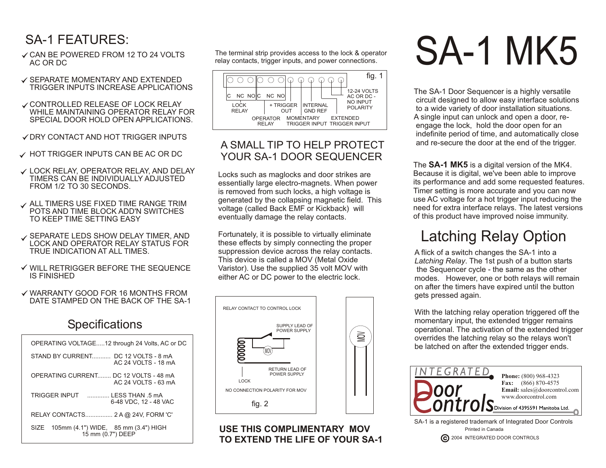## SA-1 FEATURES:

- **√ CAN BE POWERED FROM 12 TO 24 VOLTS** AC OR DC
- $\checkmark$  SEPARATE MOMENTARY AND EXTENDED TRIGGER INPUTS INCREASE APPLICATIONS
- **√ CONTROLLED RELEASE OF LOCK RELAY** WHILE MAINTAINING OPFRATOR RELAY FOR SPECIAL DOOR HOLD OPEN APPLICATIONS.
- **√ DRY CONTACT AND HOT TRIGGER INPUTS**
- $\checkmark$  HOT TRIGGER INPUTS CAN BE AC OR DC
- LOCK RELAY, OPERATOR RELAY, AND DELAY TIMERS CAN BE INDIVIDUALLY ADJUSTED FROM 1/2 TO 30 SECONDS.
- **√ ALL TIMERS USE FIXED TIME RANGE TRIM** POTS AND TIME BLOCK ADD'N SWITCHES TO KEEP TIME SETTING EASY
- SEPARATE LEDS SHOW DELAY TIMER, AND LOCK AND OPERATOR RELAY STATUS FOR TRUE INDICATION AT ALL TIMES.
- WILL RETRIGGER BEFORE THE SEQUENCE IS FINISHED
- WARRANTY GOOD FOR 16 MONTHS FROM DATE STAMPED ON THE BACK OF THE SA-1

#### **Specifications**

| OPERATING VOLTAGE12 through 24 Volts, AC or DC                 |
|----------------------------------------------------------------|
| STAND BY CURRENT. DC 12 VOLTS - 8 mA<br>AC 24 VOLTS - 18 mA    |
| OPERATING CURRENT DC 12 VOLTS - 48 mA<br>AC 24 VOLTS - 63 mA   |
| TRIGGER INPUT IFSS THAN 5 mA<br>6-48 VDC, 12 - 48 VAC          |
| RELAY CONTACTS 2 A @ 24V, FORM 'C'                             |
| SIZE 105mm (4.1") WIDE, 85 mm (3.4") HIGH<br>15 mm (0.7") DEEP |
|                                                                |

The terminal strip provides access to the lock & operator relay contacts, trigger inputs, and power connections.



#### A SMALL TIP TO HELP PROTECT YOUR SA-1 DOOR SEQUENCER

Locks such as maglocks and door strikes are essentially large electro-magnets. When power is removed from such locks, a high voltage is generated by the collapsing magnetic field. This voltage (called Back EMF or Kickback) will eventually damage the relay contacts.

Fortunately, it is possible to virtually eliminate these effects by simply connecting the proper suppression device across the relay contacts. This device is called a MOV (Metal Oxide Varistor). Use the supplied 35 volt MOV with either AC or DC power to the electric lock.



**USE THIS COMPLIMENTARY MOV TO EXTEND THE LIFE OF YOUR SA-1**

# SA-1 MK5

The SA-1 Door Sequencer is a highly versatile circuit designed to allow easy interface solutions to a wide variety of door installation situations. A single input can unlock and open a door, re engage the lock, hold the door open for an indefinite period of time, and automatically close and re-secure the door at the end of the trigger.

The **SA-1 MK5** is a digital version of the MK4. Because it is digital, we've been able to improve its performance and add some requested features. Timer setting is more accurate and you can now use AC voltage for a hot trigger input reducing the need for extra interface relays. The latest versions of this product have improved noise immunity.

## Latching Relay Option

A flick of a switch changes the SA-1 into a *Latching Relay*. The 1st push of a button starts the Sequencer cycle - the same as the other modes. However, one or both relays will remain on after the timers have expired until the button gets pressed again.

With the latching relay operation triggered off the momentary input, the extended trigger remains operational. The activation of the extended trigger overrides the latching relay so the relays won't be latched on after the extended trigger ends.



**C** 2004 INTEGRATED DOOR CONTROLS Printed in Canada SA-1 is a registered trademark of Integrated Door Controls